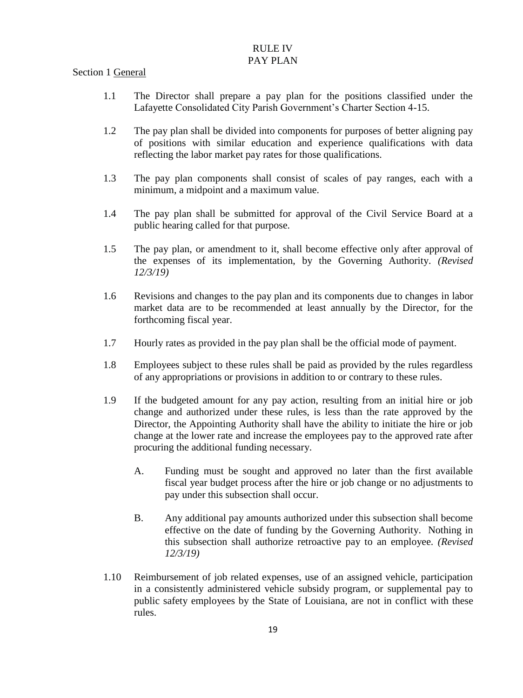# RULE IV

## PAY PLAN

## Section 1 General

- 1.1 The Director shall prepare a pay plan for the positions classified under the Lafayette Consolidated City Parish Government's Charter Section 4-15.
- 1.2 The pay plan shall be divided into components for purposes of better aligning pay of positions with similar education and experience qualifications with data reflecting the labor market pay rates for those qualifications.
- 1.3 The pay plan components shall consist of scales of pay ranges, each with a minimum, a midpoint and a maximum value.
- 1.4 The pay plan shall be submitted for approval of the Civil Service Board at a public hearing called for that purpose.
- 1.5 The pay plan, or amendment to it, shall become effective only after approval of the expenses of its implementation, by the Governing Authority. *(Revised 12/3/19)*
- 1.6 Revisions and changes to the pay plan and its components due to changes in labor market data are to be recommended at least annually by the Director, for the forthcoming fiscal year.
- 1.7 Hourly rates as provided in the pay plan shall be the official mode of payment.
- 1.8 Employees subject to these rules shall be paid as provided by the rules regardless of any appropriations or provisions in addition to or contrary to these rules.
- 1.9 If the budgeted amount for any pay action, resulting from an initial hire or job change and authorized under these rules, is less than the rate approved by the Director, the Appointing Authority shall have the ability to initiate the hire or job change at the lower rate and increase the employees pay to the approved rate after procuring the additional funding necessary.
	- A. Funding must be sought and approved no later than the first available fiscal year budget process after the hire or job change or no adjustments to pay under this subsection shall occur.
	- B. Any additional pay amounts authorized under this subsection shall become effective on the date of funding by the Governing Authority. Nothing in this subsection shall authorize retroactive pay to an employee. *(Revised 12/3/19)*
- 1.10 Reimbursement of job related expenses, use of an assigned vehicle, participation in a consistently administered vehicle subsidy program, or supplemental pay to public safety employees by the State of Louisiana, are not in conflict with these rules.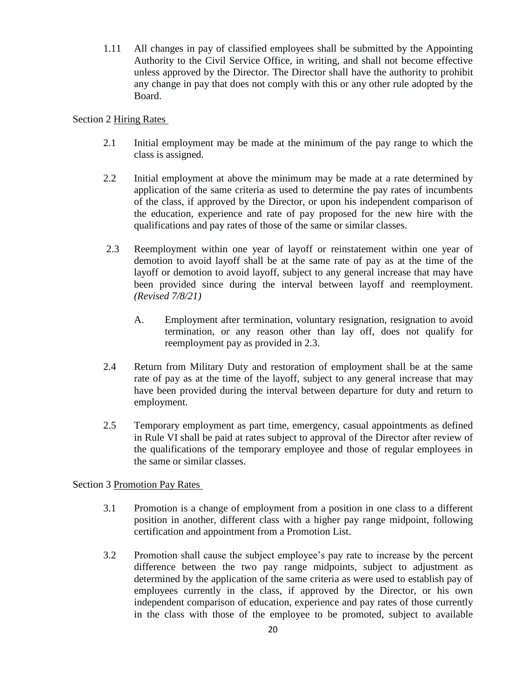1.11 All changes in pay of classified employees shall be submitted by the Appointing Authority to the Civil Service Office, in writing, and shall not become effective unless approved by the Director. The Director shall have the authority to prohibit any change in pay that does not comply with this or any other rule adopted by the Board.

### Section 2 Hiring Rates

- 2.1 Initial employment may be made at the minimum of the pay range to which the class is assigned.
- 2.2 Initial employment at above the minimum may be made at a rate determined by application of the same criteria as used to determine the pay rates of incumbents of the class, if approved by the Director, or upon his independent comparison of the education, experience and rate of pay proposed for the new hire with the qualifications and pay rates of those of the same or similar classes.
- 2.3 Reemployment within one year of layoff or reinstatement within one year of demotion to avoid layoff shall be at the same rate of pay as at the time of the layoff or demotion to avoid layoff, subject to any general increase that may have been provided since during the interval between layoff and reemployment. *(Revised 7/8/21)* 
	- A. Employment after termination, voluntary resignation, resignation to avoid termination, or any reason other than lay off, does not qualify for reemployment pay as provided in 2.3.
- 2.4 Return from Military Duty and restoration of employment shall be at the same rate of pay as at the time of the layoff, subject to any general increase that may have been provided during the interval between departure for duty and return to employment.
- 2.5 Temporary employment as part time, emergency, casual appointments as defined in Rule VI shall be paid at rates subject to approval of the Director after review of the qualifications of the temporary employee and those of regular employees in the same or similar classes.

## Section 3 Promotion Pay Rates

- 3.1 Promotion is a change of employment from a position in one class to a different position in another, different class with a higher pay range midpoint, following certification and appointment from a Promotion List.
- 3.2 Promotion shall cause the subject employee's pay rate to increase by the percent difference between the two pay range midpoints, subject to adjustment as determined by the application of the same criteria as were used to establish pay of employees currently in the class, if approved by the Director, or his own independent comparison of education, experience and pay rates of those currently in the class with those of the employee to be promoted, subject to available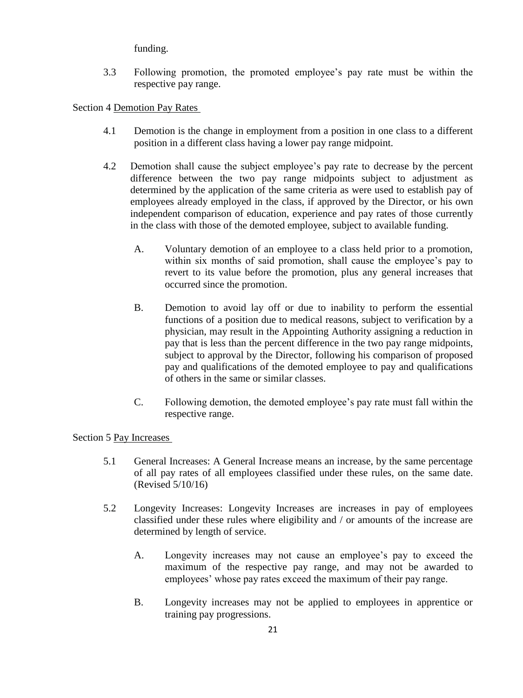funding.

3.3 Following promotion, the promoted employee's pay rate must be within the respective pay range.

Section 4 Demotion Pay Rates

- 4.1 Demotion is the change in employment from a position in one class to a different position in a different class having a lower pay range midpoint.
- 4.2 Demotion shall cause the subject employee's pay rate to decrease by the percent difference between the two pay range midpoints subject to adjustment as determined by the application of the same criteria as were used to establish pay of employees already employed in the class, if approved by the Director, or his own independent comparison of education, experience and pay rates of those currently in the class with those of the demoted employee, subject to available funding.
	- A. Voluntary demotion of an employee to a class held prior to a promotion, within six months of said promotion, shall cause the employee's pay to revert to its value before the promotion, plus any general increases that occurred since the promotion.
	- B. Demotion to avoid lay off or due to inability to perform the essential functions of a position due to medical reasons, subject to verification by a physician, may result in the Appointing Authority assigning a reduction in pay that is less than the percent difference in the two pay range midpoints, subject to approval by the Director, following his comparison of proposed pay and qualifications of the demoted employee to pay and qualifications of others in the same or similar classes.
	- C. Following demotion, the demoted employee's pay rate must fall within the respective range.

## Section 5 Pay Increases

- 5.1 General Increases: A General Increase means an increase, by the same percentage of all pay rates of all employees classified under these rules, on the same date. (Revised 5/10/16)
- 5.2 Longevity Increases: Longevity Increases are increases in pay of employees classified under these rules where eligibility and / or amounts of the increase are determined by length of service.
	- A. Longevity increases may not cause an employee's pay to exceed the maximum of the respective pay range, and may not be awarded to employees' whose pay rates exceed the maximum of their pay range.
	- B. Longevity increases may not be applied to employees in apprentice or training pay progressions.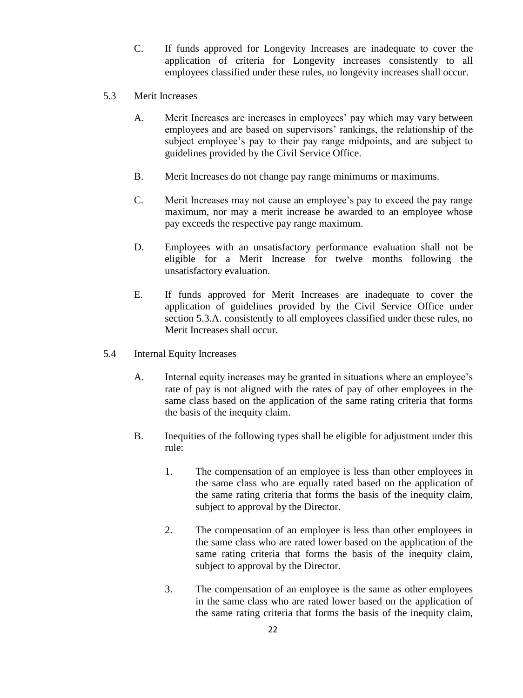- C. If funds approved for Longevity Increases are inadequate to cover the application of criteria for Longevity increases consistently to all employees classified under these rules, no longevity increases shall occur.
- 5.3 Merit Increases
	- A. Merit Increases are increases in employees' pay which may vary between employees and are based on supervisors' rankings, the relationship of the subject employee's pay to their pay range midpoints, and are subject to guidelines provided by the Civil Service Office.
	- B. Merit Increases do not change pay range minimums or maximums.
	- C. Merit Increases may not cause an employee's pay to exceed the pay range maximum, nor may a merit increase be awarded to an employee whose pay exceeds the respective pay range maximum.
	- D. Employees with an unsatisfactory performance evaluation shall not be eligible for a Merit Increase for twelve months following the unsatisfactory evaluation.
	- E. If funds approved for Merit Increases are inadequate to cover the application of guidelines provided by the Civil Service Office under section 5.3.A. consistently to all employees classified under these rules, no Merit Increases shall occur.
- 5.4 Internal Equity Increases
	- A. Internal equity increases may be granted in situations where an employee's rate of pay is not aligned with the rates of pay of other employees in the same class based on the application of the same rating criteria that forms the basis of the inequity claim.
	- B. Inequities of the following types shall be eligible for adjustment under this rule:
		- 1. The compensation of an employee is less than other employees in the same class who are equally rated based on the application of the same rating criteria that forms the basis of the inequity claim, subject to approval by the Director.
		- 2. The compensation of an employee is less than other employees in the same class who are rated lower based on the application of the same rating criteria that forms the basis of the inequity claim, subject to approval by the Director.
		- 3. The compensation of an employee is the same as other employees in the same class who are rated lower based on the application of the same rating criteria that forms the basis of the inequity claim,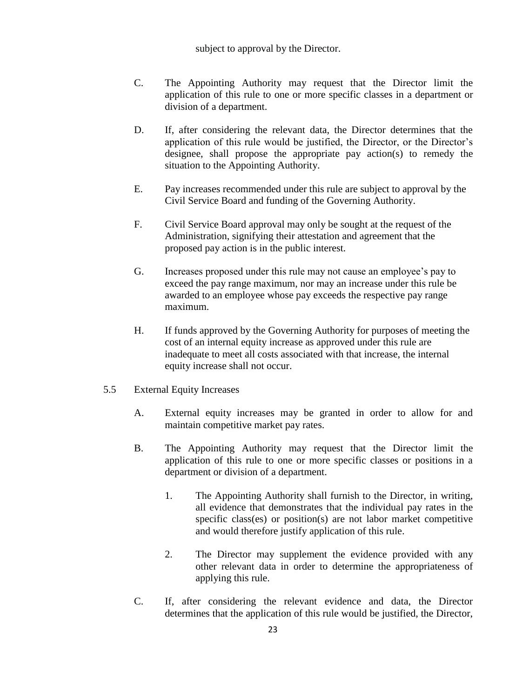- C. The Appointing Authority may request that the Director limit the application of this rule to one or more specific classes in a department or division of a department.
- D. If, after considering the relevant data, the Director determines that the application of this rule would be justified, the Director, or the Director's designee, shall propose the appropriate pay action(s) to remedy the situation to the Appointing Authority.
- E. Pay increases recommended under this rule are subject to approval by the Civil Service Board and funding of the Governing Authority.
- F. Civil Service Board approval may only be sought at the request of the Administration, signifying their attestation and agreement that the proposed pay action is in the public interest.
- G. Increases proposed under this rule may not cause an employee's pay to exceed the pay range maximum, nor may an increase under this rule be awarded to an employee whose pay exceeds the respective pay range maximum.
- H. If funds approved by the Governing Authority for purposes of meeting the cost of an internal equity increase as approved under this rule are inadequate to meet all costs associated with that increase, the internal equity increase shall not occur.
- 5.5 External Equity Increases
	- A. External equity increases may be granted in order to allow for and maintain competitive market pay rates.
	- B. The Appointing Authority may request that the Director limit the application of this rule to one or more specific classes or positions in a department or division of a department.
		- 1. The Appointing Authority shall furnish to the Director, in writing, all evidence that demonstrates that the individual pay rates in the specific class(es) or position(s) are not labor market competitive and would therefore justify application of this rule.
		- 2. The Director may supplement the evidence provided with any other relevant data in order to determine the appropriateness of applying this rule.
	- C. If, after considering the relevant evidence and data, the Director determines that the application of this rule would be justified, the Director,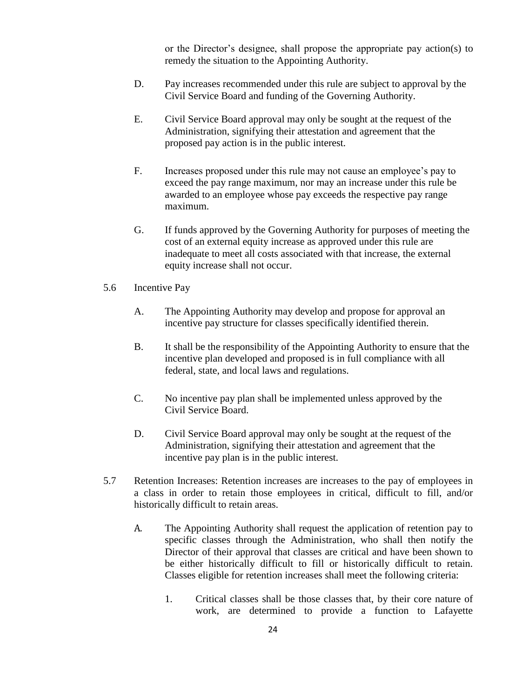or the Director's designee, shall propose the appropriate pay action(s) to remedy the situation to the Appointing Authority.

- D. Pay increases recommended under this rule are subject to approval by the Civil Service Board and funding of the Governing Authority.
- E. Civil Service Board approval may only be sought at the request of the Administration, signifying their attestation and agreement that the proposed pay action is in the public interest.
- F. Increases proposed under this rule may not cause an employee's pay to exceed the pay range maximum, nor may an increase under this rule be awarded to an employee whose pay exceeds the respective pay range maximum.
- G. If funds approved by the Governing Authority for purposes of meeting the cost of an external equity increase as approved under this rule are inadequate to meet all costs associated with that increase, the external equity increase shall not occur.
- 5.6 Incentive Pay
	- A. The Appointing Authority may develop and propose for approval an incentive pay structure for classes specifically identified therein.
	- B. It shall be the responsibility of the Appointing Authority to ensure that the incentive plan developed and proposed is in full compliance with all federal, state, and local laws and regulations.
	- C. No incentive pay plan shall be implemented unless approved by the Civil Service Board.
	- D. Civil Service Board approval may only be sought at the request of the Administration, signifying their attestation and agreement that the incentive pay plan is in the public interest.
- 5.7 Retention Increases: Retention increases are increases to the pay of employees in a class in order to retain those employees in critical, difficult to fill, and/or historically difficult to retain areas.
	- A. The Appointing Authority shall request the application of retention pay to specific classes through the Administration, who shall then notify the Director of their approval that classes are critical and have been shown to be either historically difficult to fill or historically difficult to retain. Classes eligible for retention increases shall meet the following criteria:
		- 1. Critical classes shall be those classes that, by their core nature of work, are determined to provide a function to Lafayette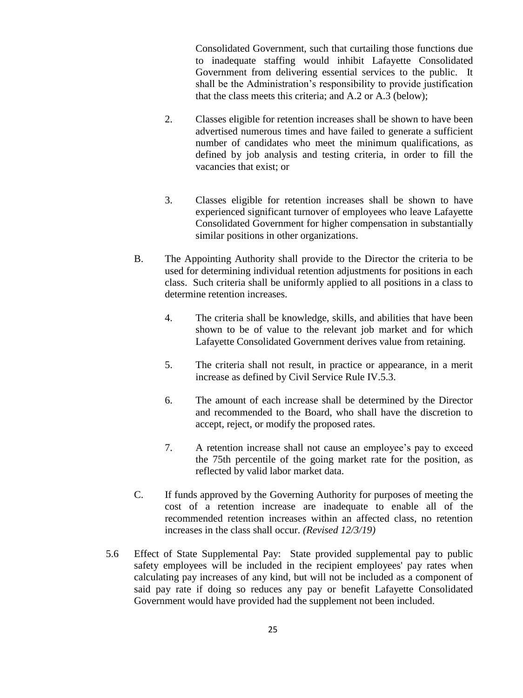Consolidated Government, such that curtailing those functions due to inadequate staffing would inhibit Lafayette Consolidated Government from delivering essential services to the public. It shall be the Administration's responsibility to provide justification that the class meets this criteria; and A.2 or A.3 (below);

- 2. Classes eligible for retention increases shall be shown to have been advertised numerous times and have failed to generate a sufficient number of candidates who meet the minimum qualifications, as defined by job analysis and testing criteria, in order to fill the vacancies that exist; or
- 3. Classes eligible for retention increases shall be shown to have experienced significant turnover of employees who leave Lafayette Consolidated Government for higher compensation in substantially similar positions in other organizations.
- B. The Appointing Authority shall provide to the Director the criteria to be used for determining individual retention adjustments for positions in each class. Such criteria shall be uniformly applied to all positions in a class to determine retention increases.
	- 4. The criteria shall be knowledge, skills, and abilities that have been shown to be of value to the relevant job market and for which Lafayette Consolidated Government derives value from retaining.
	- 5. The criteria shall not result, in practice or appearance, in a merit increase as defined by Civil Service Rule IV.5.3.
	- 6. The amount of each increase shall be determined by the Director and recommended to the Board, who shall have the discretion to accept, reject, or modify the proposed rates.
	- 7. A retention increase shall not cause an employee's pay to exceed the 75th percentile of the going market rate for the position, as reflected by valid labor market data.
- C. If funds approved by the Governing Authority for purposes of meeting the cost of a retention increase are inadequate to enable all of the recommended retention increases within an affected class, no retention increases in the class shall occur. *(Revised 12/3/19)*
- 5.6 Effect of State Supplemental Pay: State provided supplemental pay to public safety employees will be included in the recipient employees' pay rates when calculating pay increases of any kind, but will not be included as a component of said pay rate if doing so reduces any pay or benefit Lafayette Consolidated Government would have provided had the supplement not been included.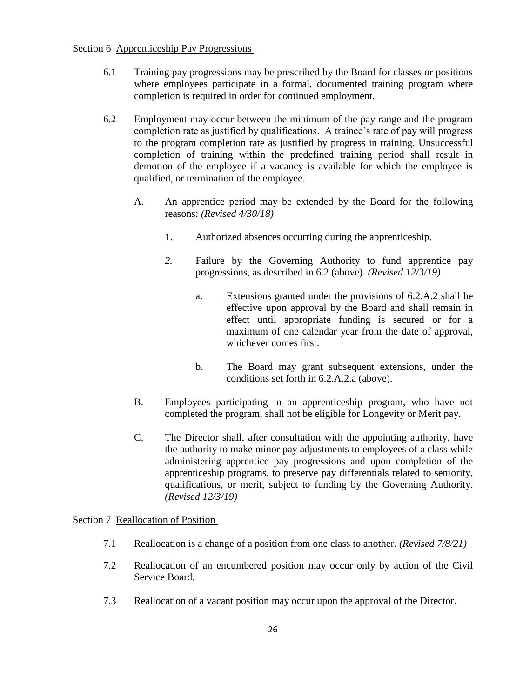#### Section 6 Apprenticeship Pay Progressions

- 6.1 Training pay progressions may be prescribed by the Board for classes or positions where employees participate in a formal, documented training program where completion is required in order for continued employment.
- 6.2 Employment may occur between the minimum of the pay range and the program completion rate as justified by qualifications. A trainee's rate of pay will progress to the program completion rate as justified by progress in training. Unsuccessful completion of training within the predefined training period shall result in demotion of the employee if a vacancy is available for which the employee is qualified, or termination of the employee.
	- A. An apprentice period may be extended by the Board for the following reasons: *(Revised 4/30/18)*
		- 1. Authorized absences occurring during the apprenticeship.
		- *2.* Failure by the Governing Authority to fund apprentice pay progressions, as described in 6.2 (above). *(Revised 12/3/19)*
			- a. Extensions granted under the provisions of 6.2.A.2 shall be effective upon approval by the Board and shall remain in effect until appropriate funding is secured or for a maximum of one calendar year from the date of approval, whichever comes first.
			- b. The Board may grant subsequent extensions, under the conditions set forth in 6.2.A.2.a (above).
	- B. Employees participating in an apprenticeship program, who have not completed the program, shall not be eligible for Longevity or Merit pay.
	- C. The Director shall, after consultation with the appointing authority, have the authority to make minor pay adjustments to employees of a class while administering apprentice pay progressions and upon completion of the apprenticeship programs, to preserve pay differentials related to seniority, qualifications, or merit, subject to funding by the Governing Authority. *(Revised 12/3/19)*

## Section 7 Reallocation of Position

- 7.1 Reallocation is a change of a position from one class to another. *(Revised 7/8/21)*
- 7.2 Reallocation of an encumbered position may occur only by action of the Civil Service Board.
- 7.3 Reallocation of a vacant position may occur upon the approval of the Director.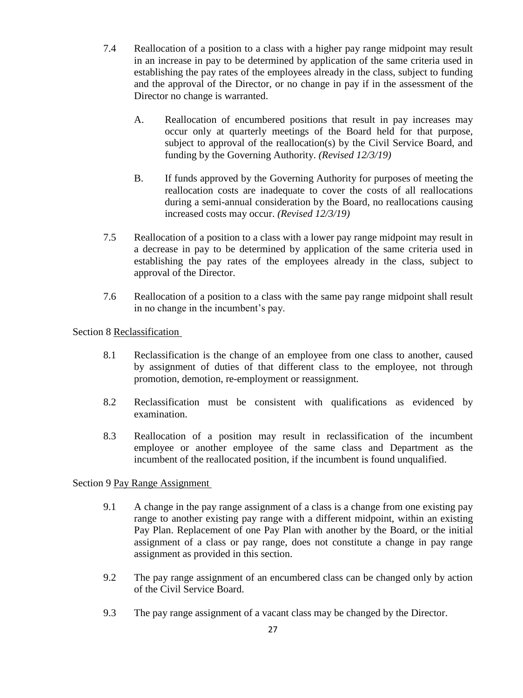- 7.4 Reallocation of a position to a class with a higher pay range midpoint may result in an increase in pay to be determined by application of the same criteria used in establishing the pay rates of the employees already in the class, subject to funding and the approval of the Director, or no change in pay if in the assessment of the Director no change is warranted.
	- A. Reallocation of encumbered positions that result in pay increases may occur only at quarterly meetings of the Board held for that purpose, subject to approval of the reallocation(s) by the Civil Service Board, and funding by the Governing Authority. *(Revised 12/3/19)*
	- B. If funds approved by the Governing Authority for purposes of meeting the reallocation costs are inadequate to cover the costs of all reallocations during a semi-annual consideration by the Board, no reallocations causing increased costs may occur. *(Revised 12/3/19)*
- 7.5 Reallocation of a position to a class with a lower pay range midpoint may result in a decrease in pay to be determined by application of the same criteria used in establishing the pay rates of the employees already in the class, subject to approval of the Director.
- 7.6 Reallocation of a position to a class with the same pay range midpoint shall result in no change in the incumbent's pay.

### Section 8 Reclassification

- 8.1 Reclassification is the change of an employee from one class to another, caused by assignment of duties of that different class to the employee, not through promotion, demotion, re-employment or reassignment.
- 8.2 Reclassification must be consistent with qualifications as evidenced by examination.
- 8.3 Reallocation of a position may result in reclassification of the incumbent employee or another employee of the same class and Department as the incumbent of the reallocated position, if the incumbent is found unqualified.

#### Section 9 Pay Range Assignment

- 9.1 A change in the pay range assignment of a class is a change from one existing pay range to another existing pay range with a different midpoint, within an existing Pay Plan. Replacement of one Pay Plan with another by the Board, or the initial assignment of a class or pay range, does not constitute a change in pay range assignment as provided in this section.
- 9.2 The pay range assignment of an encumbered class can be changed only by action of the Civil Service Board.
- 9.3 The pay range assignment of a vacant class may be changed by the Director.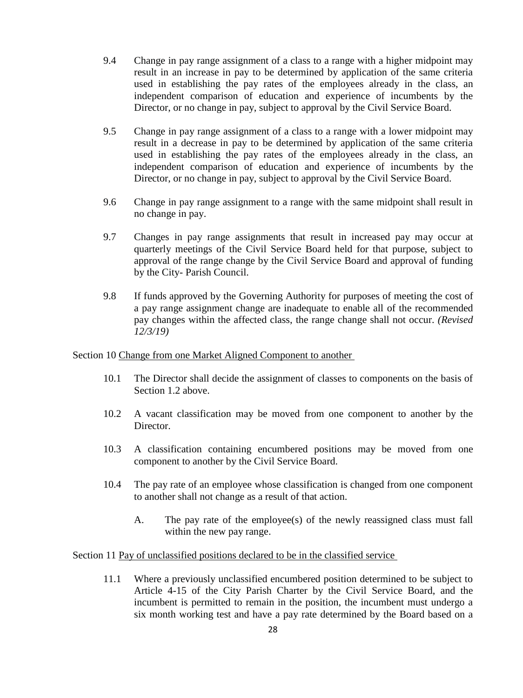- 9.4 Change in pay range assignment of a class to a range with a higher midpoint may result in an increase in pay to be determined by application of the same criteria used in establishing the pay rates of the employees already in the class, an independent comparison of education and experience of incumbents by the Director, or no change in pay, subject to approval by the Civil Service Board.
- 9.5 Change in pay range assignment of a class to a range with a lower midpoint may result in a decrease in pay to be determined by application of the same criteria used in establishing the pay rates of the employees already in the class, an independent comparison of education and experience of incumbents by the Director, or no change in pay, subject to approval by the Civil Service Board.
- 9.6 Change in pay range assignment to a range with the same midpoint shall result in no change in pay.
- 9.7 Changes in pay range assignments that result in increased pay may occur at quarterly meetings of the Civil Service Board held for that purpose, subject to approval of the range change by the Civil Service Board and approval of funding by the City- Parish Council.
- 9.8 If funds approved by the Governing Authority for purposes of meeting the cost of a pay range assignment change are inadequate to enable all of the recommended pay changes within the affected class, the range change shall not occur. *(Revised 12/3/19)*

Section 10 Change from one Market Aligned Component to another

- 10.1 The Director shall decide the assignment of classes to components on the basis of Section 1.2 above.
- 10.2 A vacant classification may be moved from one component to another by the Director.
- 10.3 A classification containing encumbered positions may be moved from one component to another by the Civil Service Board.
- 10.4 The pay rate of an employee whose classification is changed from one component to another shall not change as a result of that action.
	- A. The pay rate of the employee(s) of the newly reassigned class must fall within the new pay range.

Section 11 Pay of unclassified positions declared to be in the classified service

11.1 Where a previously unclassified encumbered position determined to be subject to Article 4-15 of the City Parish Charter by the Civil Service Board, and the incumbent is permitted to remain in the position, the incumbent must undergo a six month working test and have a pay rate determined by the Board based on a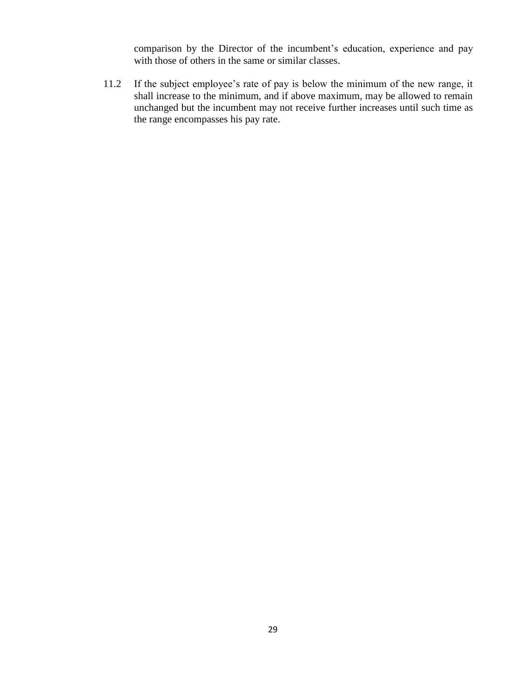comparison by the Director of the incumbent's education, experience and pay with those of others in the same or similar classes.

11.2 If the subject employee's rate of pay is below the minimum of the new range, it shall increase to the minimum, and if above maximum, may be allowed to remain unchanged but the incumbent may not receive further increases until such time as the range encompasses his pay rate.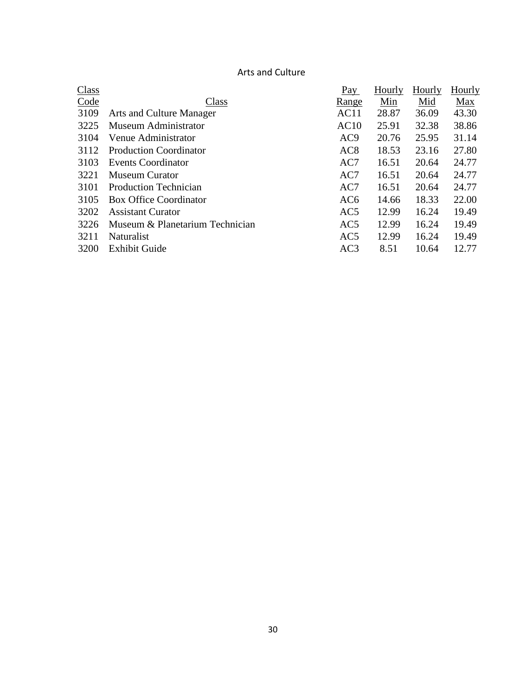## Arts and Culture

| <b>Class</b> |                                 | Pay             | Hourly | Hourly | <b>Hourly</b> |
|--------------|---------------------------------|-----------------|--------|--------|---------------|
| Code         | Class                           | <u>Range</u>    | Min    | Mid    | Max           |
| 3109         | Arts and Culture Manager        | AC11            | 28.87  | 36.09  | 43.30         |
| 3225         | Museum Administrator            | AC10            | 25.91  | 32.38  | 38.86         |
| 3104         | Venue Administrator             | AC <sub>9</sub> | 20.76  | 25.95  | 31.14         |
| 3112         | <b>Production Coordinator</b>   | AC <sub>8</sub> | 18.53  | 23.16  | 27.80         |
| 3103         | <b>Events Coordinator</b>       | AC7             | 16.51  | 20.64  | 24.77         |
| 3221         | <b>Museum Curator</b>           | AC7             | 16.51  | 20.64  | 24.77         |
| 3101         | <b>Production Technician</b>    | AC7             | 16.51  | 20.64  | 24.77         |
| 3105         | <b>Box Office Coordinator</b>   | AC <sub>6</sub> | 14.66  | 18.33  | 22.00         |
| 3202         | <b>Assistant Curator</b>        | AC <sub>5</sub> | 12.99  | 16.24  | 19.49         |
| 3226         | Museum & Planetarium Technician | AC <sub>5</sub> | 12.99  | 16.24  | 19.49         |
| 3211         | Naturalist                      | AC <sub>5</sub> | 12.99  | 16.24  | 19.49         |
| 3200         | <b>Exhibit Guide</b>            | AC3             | 8.51   | 10.64  | 12.77         |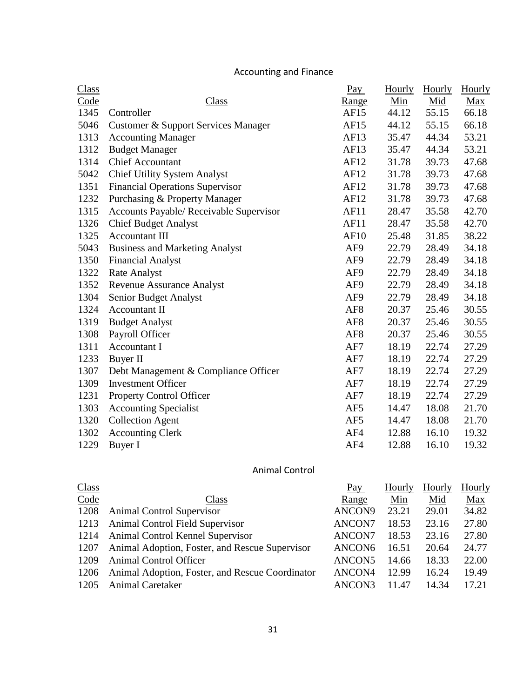# Accounting and Finance

| <b>Class</b> |                                         | <u>Pay</u>      | Hourly | Hourly | Hourly |
|--------------|-----------------------------------------|-----------------|--------|--------|--------|
| Code         | Class                                   | <u>Range</u>    | Min    | Mid    | Max    |
| 1345         | Controller                              | AF15            | 44.12  | 55.15  | 66.18  |
| 5046         | Customer & Support Services Manager     | AF15            | 44.12  | 55.15  | 66.18  |
| 1313         | <b>Accounting Manager</b>               | AF13            | 35.47  | 44.34  | 53.21  |
| 1312         | <b>Budget Manager</b>                   | AF13            | 35.47  | 44.34  | 53.21  |
| 1314         | <b>Chief Accountant</b>                 | AF12            | 31.78  | 39.73  | 47.68  |
| 5042         | <b>Chief Utility System Analyst</b>     | AF12            | 31.78  | 39.73  | 47.68  |
| 1351         | <b>Financial Operations Supervisor</b>  | AF12            | 31.78  | 39.73  | 47.68  |
| 1232         | Purchasing & Property Manager           | AF12            | 31.78  | 39.73  | 47.68  |
| 1315         | Accounts Payable/ Receivable Supervisor | AF11            | 28.47  | 35.58  | 42.70  |
| 1326         | <b>Chief Budget Analyst</b>             | AF11            | 28.47  | 35.58  | 42.70  |
| 1325         | <b>Accountant III</b>                   | <b>AF10</b>     | 25.48  | 31.85  | 38.22  |
| 5043         | <b>Business and Marketing Analyst</b>   | AF9             | 22.79  | 28.49  | 34.18  |
| 1350         | <b>Financial Analyst</b>                | AF <sub>9</sub> | 22.79  | 28.49  | 34.18  |
| 1322         | Rate Analyst                            | AF9             | 22.79  | 28.49  | 34.18  |
| 1352         | <b>Revenue Assurance Analyst</b>        | AF9             | 22.79  | 28.49  | 34.18  |
| 1304         | Senior Budget Analyst                   | AF9             | 22.79  | 28.49  | 34.18  |
| 1324         | Accountant II                           | AF <sub>8</sub> | 20.37  | 25.46  | 30.55  |
| 1319         | <b>Budget Analyst</b>                   | AF <sub>8</sub> | 20.37  | 25.46  | 30.55  |
| 1308         | Payroll Officer                         | AF <sub>8</sub> | 20.37  | 25.46  | 30.55  |
| 1311         | Accountant I                            | AF7             | 18.19  | 22.74  | 27.29  |
| 1233         | Buyer II                                | AF7             | 18.19  | 22.74  | 27.29  |
| 1307         | Debt Management & Compliance Officer    | AF7             | 18.19  | 22.74  | 27.29  |
| 1309         | <b>Investment Officer</b>               | AF7             | 18.19  | 22.74  | 27.29  |
| 1231         | <b>Property Control Officer</b>         | AF7             | 18.19  | 22.74  | 27.29  |
| 1303         | <b>Accounting Specialist</b>            | AF <sub>5</sub> | 14.47  | 18.08  | 21.70  |
| 1320         | <b>Collection Agent</b>                 | AF5             | 14.47  | 18.08  | 21.70  |
| 1302         | <b>Accounting Clerk</b>                 | AF4             | 12.88  | 16.10  | 19.32  |
| 1229         | Buyer I                                 | AF4             | 12.88  | 16.10  | 19.32  |

## Animal Control

| <u>Class</u> |                                                 | Pay                | Hourly | Hourly | <b>Hourly</b> |
|--------------|-------------------------------------------------|--------------------|--------|--------|---------------|
| Code         | Class                                           | Range              | Min    | Mid    | Max           |
| 1208         | <b>Animal Control Supervisor</b>                | ANCON9             | 23.21  | 29.01  | 34.82         |
|              | 1213 Animal Control Field Supervisor            | ANCON7             | 18.53  | 23.16  | 27.80         |
|              | 1214 Animal Control Kennel Supervisor           | ANCON7             | 18.53  | 23.16  | 27.80         |
| 1207         | Animal Adoption, Foster, and Rescue Supervisor  | ANCON <sub>6</sub> | 16.51  | 20.64  | 24.77         |
| 1209         | Animal Control Officer                          | ANCON5             | 14.66  | 18.33  | 22.00         |
| 1206         | Animal Adoption, Foster, and Rescue Coordinator | ANCON4             | 12.99  | 16.24  | 19.49         |
| 1205         | <b>Animal Caretaker</b>                         | ANCON3             | 11.47  | 14.34  | 17.21         |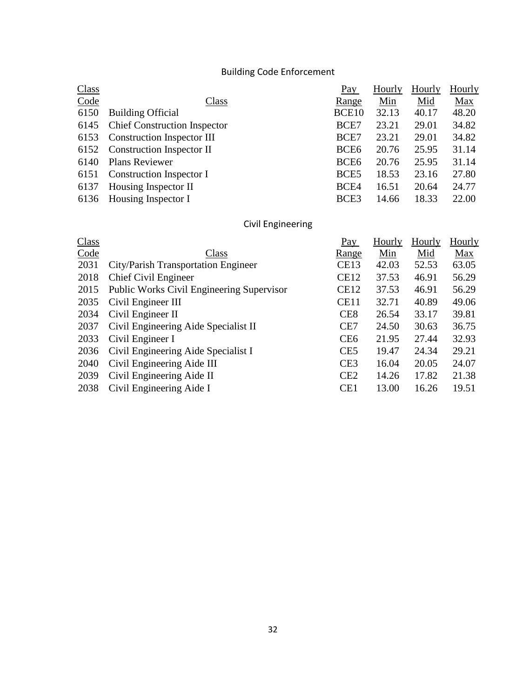# Building Code Enforcement

| <b>Class</b> |                                   | Pay              | Hourly     | Hourly | <b>Hourly</b> |
|--------------|-----------------------------------|------------------|------------|--------|---------------|
| Code         | Class                             | <u>Range</u>     | <u>Min</u> | Mid    | <b>Max</b>    |
| 6150         | <b>Building Official</b>          | BCE10            | 32.13      | 40.17  | 48.20         |
|              | 6145 Chief Construction Inspector | BCE7             | 23.21      | 29.01  | 34.82         |
|              | 6153 Construction Inspector III   | BCE7             | 23.21      | 29.01  | 34.82         |
|              | 6152 Construction Inspector II    | BCE <sub>6</sub> | 20.76      | 25.95  | 31.14         |
| 6140         | <b>Plans Reviewer</b>             | BCE <sub>6</sub> | 20.76      | 25.95  | 31.14         |
|              | 6151 Construction Inspector I     | BCE <sub>5</sub> | 18.53      | 23.16  | 27.80         |
| 6137         | Housing Inspector II              | BCE4             | 16.51      | 20.64  | 24.77         |
|              | 6136 Housing Inspector I          | BCE3             | 14.66      | 18.33  | 22.00         |

# Civil Engineering

| Class |                                           | Pay             | Hourly | <b>Hourly</b> | <b>Hourly</b> |
|-------|-------------------------------------------|-----------------|--------|---------------|---------------|
| Code  | Class                                     | <u>Range</u>    | Min    | Mid           | Max           |
| 2031  | City/Parish Transportation Engineer       | <b>CE13</b>     | 42.03  | 52.53         | 63.05         |
| 2018  | Chief Civil Engineer                      | <b>CE12</b>     | 37.53  | 46.91         | 56.29         |
| 2015  | Public Works Civil Engineering Supervisor | <b>CE12</b>     | 37.53  | 46.91         | 56.29         |
| 2035  | Civil Engineer III                        | <b>CE11</b>     | 32.71  | 40.89         | 49.06         |
| 2034  | Civil Engineer II                         | CE <sub>8</sub> | 26.54  | 33.17         | 39.81         |
| 2037  | Civil Engineering Aide Specialist II      | CE7             | 24.50  | 30.63         | 36.75         |
| 2033  | Civil Engineer I                          | CE <sub>6</sub> | 21.95  | 27.44         | 32.93         |
| 2036  | Civil Engineering Aide Specialist I       | CE <sub>5</sub> | 19.47  | 24.34         | 29.21         |
| 2040  | Civil Engineering Aide III                | CE <sub>3</sub> | 16.04  | 20.05         | 24.07         |
| 2039  | Civil Engineering Aide II                 | CE2             | 14.26  | 17.82         | 21.38         |
| 2038  | Civil Engineering Aide I                  | CE1             | 13.00  | 16.26         | 19.51         |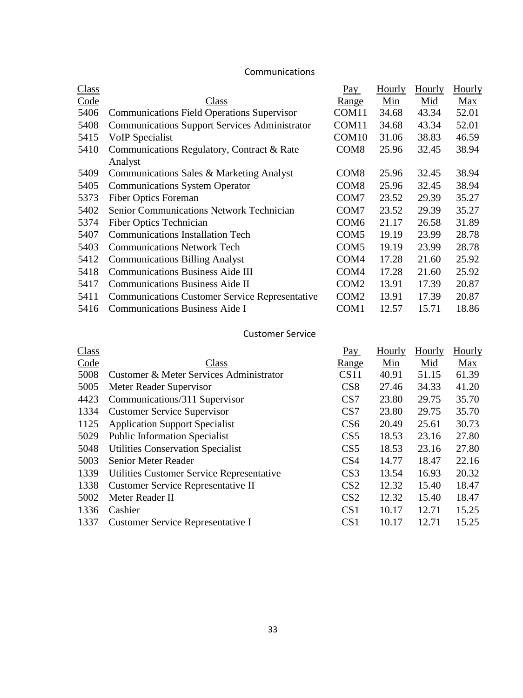### Communications

| Class |                                                       | Pay               | Hourly | Hourly | Hourly     |
|-------|-------------------------------------------------------|-------------------|--------|--------|------------|
| Code  | Class                                                 | Range             | Min    | Mid    | <b>Max</b> |
| 5406  | <b>Communications Field Operations Supervisor</b>     | COM11             | 34.68  | 43.34  | 52.01      |
| 5408  | <b>Communications Support Services Administrator</b>  | COM11             | 34.68  | 43.34  | 52.01      |
| 5415  | VoIP Specialist                                       | COM <sub>10</sub> | 31.06  | 38.83  | 46.59      |
| 5410  | Communications Regulatory, Contract & Rate            | COM <sub>8</sub>  | 25.96  | 32.45  | 38.94      |
|       | Analyst                                               |                   |        |        |            |
| 5409  | Communications Sales & Marketing Analyst              | COM <sub>8</sub>  | 25.96  | 32.45  | 38.94      |
| 5405  | <b>Communications System Operator</b>                 | COM <sub>8</sub>  | 25.96  | 32.45  | 38.94      |
| 5373  | <b>Fiber Optics Foreman</b>                           | COM7              | 23.52  | 29.39  | 35.27      |
| 5402  | <b>Senior Communications Network Technician</b>       | COM7              | 23.52  | 29.39  | 35.27      |
| 5374  | <b>Fiber Optics Technician</b>                        | COM <sub>6</sub>  | 21.17  | 26.58  | 31.89      |
| 5407  | <b>Communications Installation Tech</b>               | COM <sub>5</sub>  | 19.19  | 23.99  | 28.78      |
| 5403  | <b>Communications Network Tech</b>                    | COM <sub>5</sub>  | 19.19  | 23.99  | 28.78      |
| 5412  | <b>Communications Billing Analyst</b>                 | COM4              | 17.28  | 21.60  | 25.92      |
| 5418  | <b>Communications Business Aide III</b>               | COM <sub>4</sub>  | 17.28  | 21.60  | 25.92      |
| 5417  | <b>Communications Business Aide II</b>                | COM <sub>2</sub>  | 13.91  | 17.39  | 20.87      |
| 5411  | <b>Communications Customer Service Representative</b> | COM <sub>2</sub>  | 13.91  | 17.39  | 20.87      |
| 5416  | <b>Communications Business Aide I</b>                 | COM1              | 12.57  | 15.71  | 18.86      |

### Customer Service

| <b>Class</b> |                                           | Pay             | Hourly | Hourly | Hourly |
|--------------|-------------------------------------------|-----------------|--------|--------|--------|
| Code         | Class                                     | Range           | Min    | Mid    | Max    |
| 5008         | Customer & Meter Services Administrator   | CS11            | 40.91  | 51.15  | 61.39  |
| 5005         | Meter Reader Supervisor                   | CS <sub>8</sub> | 27.46  | 34.33  | 41.20  |
| 4423         | Communications/311 Supervisor             | CS7             | 23.80  | 29.75  | 35.70  |
| 1334         | <b>Customer Service Supervisor</b>        | CS7             | 23.80  | 29.75  | 35.70  |
| 1125         | <b>Application Support Specialist</b>     | CS <sub>6</sub> | 20.49  | 25.61  | 30.73  |
| 5029         | <b>Public Information Specialist</b>      | CS <sub>5</sub> | 18.53  | 23.16  | 27.80  |
| 5048         | <b>Utilities Conservation Specialist</b>  | CS <sub>5</sub> | 18.53  | 23.16  | 27.80  |
| 5003         | Senior Meter Reader                       | CS <sub>4</sub> | 14.77  | 18.47  | 22.16  |
| 1339         | Utilities Customer Service Representative | CS <sub>3</sub> | 13.54  | 16.93  | 20.32  |
| 1338         | Customer Service Representative II        | CS <sub>2</sub> | 12.32  | 15.40  | 18.47  |
| 5002         | Meter Reader II                           | CS <sub>2</sub> | 12.32  | 15.40  | 18.47  |
| 1336         | Cashier                                   | CS <sub>1</sub> | 10.17  | 12.71  | 15.25  |
| 1337         | Customer Service Representative I         | CS <sub>1</sub> | 10.17  | 12.71  | 15.25  |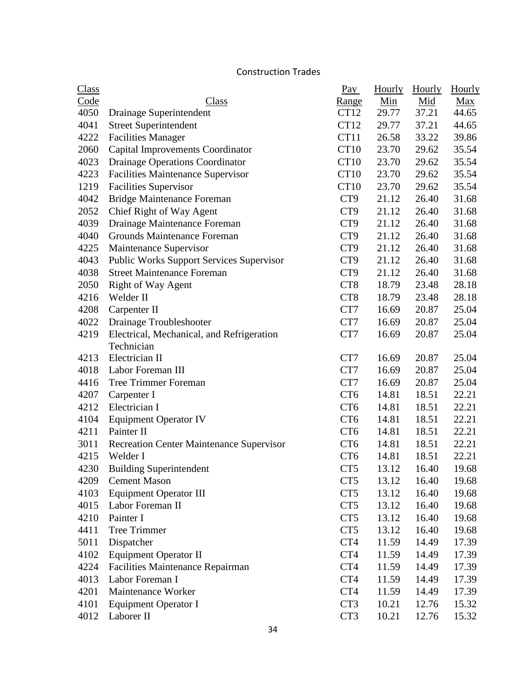### Construction Trades

| <b>Class</b> |                                                 | $\frac{Pay}{.}$  | Hourly | <b>Hourly</b> | <b>Hourly</b> |
|--------------|-------------------------------------------------|------------------|--------|---------------|---------------|
| Code         | <b>Class</b>                                    | <u>Range</u>     | Min    | Mid           | Max           |
| 4050         | Drainage Superintendent                         | CT <sub>12</sub> | 29.77  | 37.21         | 44.65         |
| 4041         | <b>Street Superintendent</b>                    | CT <sub>12</sub> | 29.77  | 37.21         | 44.65         |
| 4222         | <b>Facilities Manager</b>                       | CT11             | 26.58  | 33.22         | 39.86         |
| 2060         | Capital Improvements Coordinator                | CT10             | 23.70  | 29.62         | 35.54         |
| 4023         | Drainage Operations Coordinator                 | CT <sub>10</sub> | 23.70  | 29.62         | 35.54         |
| 4223         | <b>Facilities Maintenance Supervisor</b>        | <b>CT10</b>      | 23.70  | 29.62         | 35.54         |
| 1219         | <b>Facilities Supervisor</b>                    | <b>CT10</b>      | 23.70  | 29.62         | 35.54         |
| 4042         | <b>Bridge Maintenance Foreman</b>               | CT <sub>9</sub>  | 21.12  | 26.40         | 31.68         |
| 2052         | Chief Right of Way Agent                        | CT <sub>9</sub>  | 21.12  | 26.40         | 31.68         |
| 4039         | Drainage Maintenance Foreman                    | CT <sub>9</sub>  | 21.12  | 26.40         | 31.68         |
| 4040         | Grounds Maintenance Foreman                     | CT <sub>9</sub>  | 21.12  | 26.40         | 31.68         |
| 4225         | Maintenance Supervisor                          | CT <sub>9</sub>  | 21.12  | 26.40         | 31.68         |
| 4043         | <b>Public Works Support Services Supervisor</b> | CT <sub>9</sub>  | 21.12  | 26.40         | 31.68         |
| 4038         | <b>Street Maintenance Foreman</b>               | CT <sub>9</sub>  | 21.12  | 26.40         | 31.68         |
| 2050         | <b>Right of Way Agent</b>                       | CT <sub>8</sub>  | 18.79  | 23.48         | 28.18         |
| 4216         | Welder II                                       | CT <sub>8</sub>  | 18.79  | 23.48         | 28.18         |
| 4208         | Carpenter II                                    | CT7              | 16.69  | 20.87         | 25.04         |
| 4022         | Drainage Troubleshooter                         | CT7              | 16.69  | 20.87         | 25.04         |
| 4219         | Electrical, Mechanical, and Refrigeration       | CT7              | 16.69  | 20.87         | 25.04         |
|              | Technician                                      |                  |        |               |               |
| 4213         | Electrician II                                  | CT7              | 16.69  | 20.87         | 25.04         |
| 4018         | Labor Foreman III                               | CT7              | 16.69  | 20.87         | 25.04         |
| 4416         | <b>Tree Trimmer Foreman</b>                     | CT7              | 16.69  | 20.87         | 25.04         |
| 4207         | Carpenter I                                     | CT <sub>6</sub>  | 14.81  | 18.51         | 22.21         |
| 4212         | Electrician I                                   | CT <sub>6</sub>  | 14.81  | 18.51         | 22.21         |
| 4104         | <b>Equipment Operator IV</b>                    | CT <sub>6</sub>  | 14.81  | 18.51         | 22.21         |
| 4211         | Painter II                                      | CT <sub>6</sub>  | 14.81  | 18.51         | 22.21         |
| 3011         | <b>Recreation Center Maintenance Supervisor</b> | CT <sub>6</sub>  | 14.81  | 18.51         | 22.21         |
| 4215         | Welder I                                        | CT <sub>6</sub>  | 14.81  | 18.51         | 22.21         |
| 4230         | <b>Building Superintendent</b>                  | CT5              | 13.12  | 16.40         | 19.68         |
| 4209         | <b>Cement Mason</b>                             | CT <sub>5</sub>  | 13.12  | 16.40         | 19.68         |
| 4103         | <b>Equipment Operator III</b>                   | CT <sub>5</sub>  | 13.12  | 16.40         | 19.68         |
| 4015         | Labor Foreman II                                | CT <sub>5</sub>  | 13.12  | 16.40         | 19.68         |
| 4210         | Painter I                                       | CT <sub>5</sub>  | 13.12  | 16.40         | 19.68         |
| 4411         | <b>Tree Trimmer</b>                             | CT <sub>5</sub>  | 13.12  | 16.40         | 19.68         |
| 5011         | Dispatcher                                      | CT4              | 11.59  | 14.49         | 17.39         |
| 4102         | <b>Equipment Operator II</b>                    | CT4              | 11.59  | 14.49         | 17.39         |
| 4224         | <b>Facilities Maintenance Repairman</b>         | CT4              | 11.59  | 14.49         | 17.39         |
| 4013         | Labor Foreman I                                 | CT4              | 11.59  | 14.49         | 17.39         |
| 4201         | Maintenance Worker                              | CT4              | 11.59  | 14.49         | 17.39         |
| 4101         | Equipment Operator I                            | CT <sub>3</sub>  | 10.21  | 12.76         | 15.32         |
| 4012         | Laborer II                                      | CT3              | 10.21  | 12.76         | 15.32         |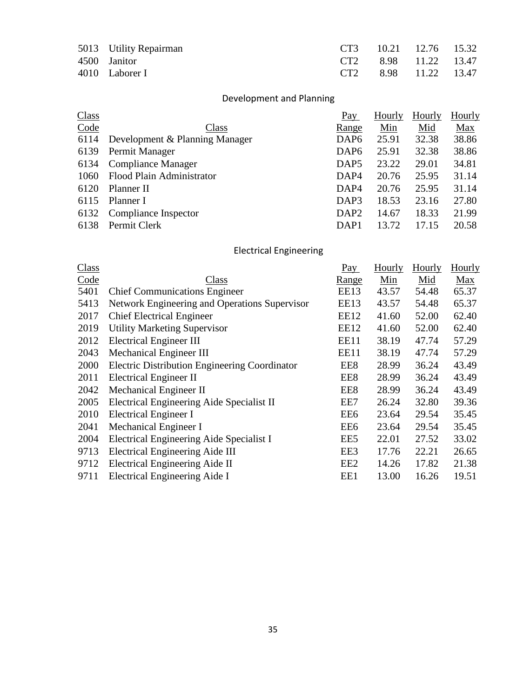| 5013 Utility Repairman |  | CT3 10.21 12.76 15.32 |  |
|------------------------|--|-----------------------|--|
| 4500 Janitor           |  | CT2 8.98 11.22 13.47  |  |
| 4010 Laborer I         |  | CT2 8.98 11.22 13.47  |  |

# Development and Planning

| <b>Class</b> |                                | Pay              | Hourly | Hourly | Hourly |
|--------------|--------------------------------|------------------|--------|--------|--------|
| Code         | Class                          | Range            | Min    | Mid    | Max    |
| 6114         | Development & Planning Manager | DAP <sub>6</sub> | 25.91  | 32.38  | 38.86  |
| 6139         | Permit Manager                 | DAP <sub>6</sub> | 25.91  | 32.38  | 38.86  |
| 6134         | Compliance Manager             | DAP <sub>5</sub> | 23.22  | 29.01  | 34.81  |
| 1060         | Flood Plain Administrator      | DAP <sub>4</sub> | 20.76  | 25.95  | 31.14  |
| 6120         | Planner II                     | DAP <sub>4</sub> | 20.76  | 25.95  | 31.14  |
| 6115         | Planner I                      | DAP3             | 18.53  | 23.16  | 27.80  |
| 6132         | Compliance Inspector           | DAP <sub>2</sub> | 14.67  | 18.33  | 21.99  |
| 6138         | Permit Clerk                   | DAP <sub>1</sub> | 13.72  | 17.15  | 20.58  |

# Electrical Engineering

| Class |                                                      | Pay             | <b>Hourly</b> | Hourly | Hourly |
|-------|------------------------------------------------------|-----------------|---------------|--------|--------|
| Code  | Class                                                | Range           | Min           | Mid    | Max    |
| 5401  | <b>Chief Communications Engineer</b>                 | EE13            | 43.57         | 54.48  | 65.37  |
| 5413  | Network Engineering and Operations Supervisor        | EE13            | 43.57         | 54.48  | 65.37  |
| 2017  | <b>Chief Electrical Engineer</b>                     | EE12            | 41.60         | 52.00  | 62.40  |
| 2019  | <b>Utility Marketing Supervisor</b>                  | EE12            | 41.60         | 52.00  | 62.40  |
| 2012  | <b>Electrical Engineer III</b>                       | <b>EE11</b>     | 38.19         | 47.74  | 57.29  |
| 2043  | Mechanical Engineer III                              | <b>EE11</b>     | 38.19         | 47.74  | 57.29  |
| 2000  | <b>Electric Distribution Engineering Coordinator</b> | EE8             | 28.99         | 36.24  | 43.49  |
| 2011  | <b>Electrical Engineer II</b>                        | EE8             | 28.99         | 36.24  | 43.49  |
| 2042  | Mechanical Engineer II                               | EE8             | 28.99         | 36.24  | 43.49  |
| 2005  | Electrical Engineering Aide Specialist II            | EE7             | 26.24         | 32.80  | 39.36  |
| 2010  | <b>Electrical Engineer I</b>                         | EE6             | 23.64         | 29.54  | 35.45  |
| 2041  | Mechanical Engineer I                                | EE6             | 23.64         | 29.54  | 35.45  |
| 2004  | Electrical Engineering Aide Specialist I             | EE5             | 22.01         | 27.52  | 33.02  |
| 9713  | <b>Electrical Engineering Aide III</b>               | EE3             | 17.76         | 22.21  | 26.65  |
| 9712  | Electrical Engineering Aide II                       | EE <sub>2</sub> | 14.26         | 17.82  | 21.38  |
| 9711  | Electrical Engineering Aide I                        | EE1             | 13.00         | 16.26  | 19.51  |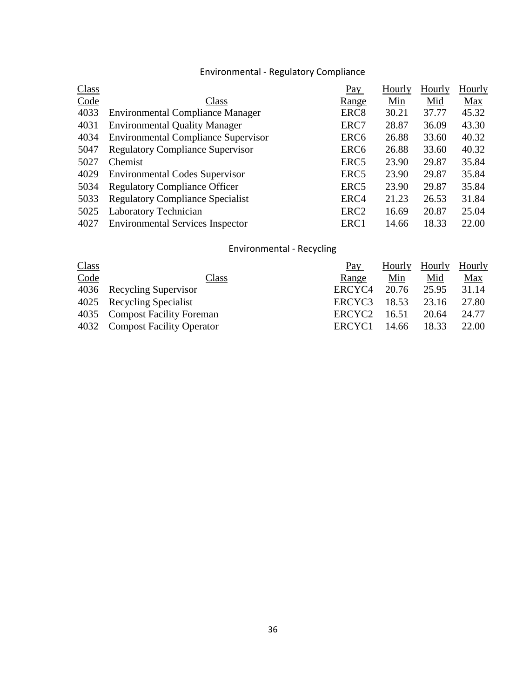# Environmental - Regulatory Compliance

| <b>Class</b> |                                            | Pay              | Hourly | Hourly | <b>Hourly</b> |
|--------------|--------------------------------------------|------------------|--------|--------|---------------|
| Code         | Class                                      | Range            | Min    | Mid    | Max           |
| 4033         | <b>Environmental Compliance Manager</b>    | ERC <sub>8</sub> | 30.21  | 37.77  | 45.32         |
| 4031         | <b>Environmental Quality Manager</b>       | ERC7             | 28.87  | 36.09  | 43.30         |
| 4034         | <b>Environmental Compliance Supervisor</b> | ERC <sub>6</sub> | 26.88  | 33.60  | 40.32         |
| 5047         | <b>Regulatory Compliance Supervisor</b>    | ERC <sub>6</sub> | 26.88  | 33.60  | 40.32         |
| 5027         | Chemist                                    | ERC <sub>5</sub> | 23.90  | 29.87  | 35.84         |
| 4029         | <b>Environmental Codes Supervisor</b>      | ERC <sub>5</sub> | 23.90  | 29.87  | 35.84         |
| 5034         | <b>Regulatory Compliance Officer</b>       | ERC <sub>5</sub> | 23.90  | 29.87  | 35.84         |
| 5033         | <b>Regulatory Compliance Specialist</b>    | ERC4             | 21.23  | 26.53  | 31.84         |
| 5025         | Laboratory Technician                      | ERC <sub>2</sub> | 16.69  | 20.87  | 25.04         |
| 4027         | <b>Environmental Services Inspector</b>    | ERC1             | 14.66  | 18.33  | 22.00         |

# Environmental - Recycling

|                                | Pay                | Hourly |       | Hourly |
|--------------------------------|--------------------|--------|-------|--------|
| Class                          | Range              | Min    | Mid   | Max    |
| 4036 Recycling Supervisor      | ERCYC <sub>4</sub> | 20.76  | 25.95 | 31.14  |
| 4025 Recycling Specialist      | ERCYC <sub>3</sub> | 18.53  | 23.16 | 27.80  |
| 4035 Compost Facility Foreman  | ERCYC <sub>2</sub> | 16.51  | 20.64 | 24.77  |
| 4032 Compost Facility Operator | ERCYC <sub>1</sub> | 14.66  | 18.33 | 22.00  |
|                                |                    |        |       | Hourly |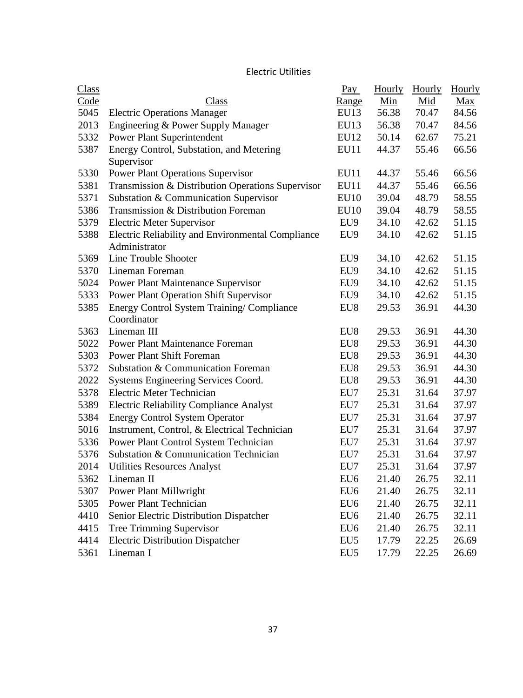## Electric Utilities

| <b>Class</b> |                                                   | $\frac{\text{Pay}}{\text{Pay}}$ | Hourly | <b>Hourly</b> | <b>Hourly</b> |
|--------------|---------------------------------------------------|---------------------------------|--------|---------------|---------------|
| Code         | Class                                             | <u>Range</u>                    | Min    | Mid           | Max           |
| 5045         | <b>Electric Operations Manager</b>                | EU13                            | 56.38  | 70.47         | 84.56         |
| 2013         | Engineering & Power Supply Manager                | EU13                            | 56.38  | 70.47         | 84.56         |
| 5332         | <b>Power Plant Superintendent</b>                 | EU12                            | 50.14  | 62.67         | 75.21         |
| 5387         | Energy Control, Substation, and Metering          | EU11                            | 44.37  | 55.46         | 66.56         |
|              | Supervisor                                        |                                 |        |               |               |
| 5330         | <b>Power Plant Operations Supervisor</b>          | <b>EU11</b>                     | 44.37  | 55.46         | 66.56         |
| 5381         | Transmission & Distribution Operations Supervisor | EU11                            | 44.37  | 55.46         | 66.56         |
| 5371         | Substation & Communication Supervisor             | <b>EU10</b>                     | 39.04  | 48.79         | 58.55         |
| 5386         | Transmission & Distribution Foreman               | EU10                            | 39.04  | 48.79         | 58.55         |
| 5379         | <b>Electric Meter Supervisor</b>                  | EU9                             | 34.10  | 42.62         | 51.15         |
| 5388         | Electric Reliability and Environmental Compliance | EU9                             | 34.10  | 42.62         | 51.15         |
|              | Administrator                                     |                                 |        |               |               |
| 5369         | Line Trouble Shooter                              | EU9                             | 34.10  | 42.62         | 51.15         |
| 5370         | Lineman Foreman                                   | EU9                             | 34.10  | 42.62         | 51.15         |
| 5024         | Power Plant Maintenance Supervisor                | EU9                             | 34.10  | 42.62         | 51.15         |
| 5333         | <b>Power Plant Operation Shift Supervisor</b>     | EU9                             | 34.10  | 42.62         | 51.15         |
| 5385         | Energy Control System Training/Compliance         | EU8                             | 29.53  | 36.91         | 44.30         |
|              | Coordinator                                       |                                 |        |               |               |
| 5363         | Lineman III                                       | EU8                             | 29.53  | 36.91         | 44.30         |
| 5022         | <b>Power Plant Maintenance Foreman</b>            | EU8                             | 29.53  | 36.91         | 44.30         |
| 5303         | <b>Power Plant Shift Foreman</b>                  | EU8                             | 29.53  | 36.91         | 44.30         |
| 5372         | Substation & Communication Foreman                | EU8                             | 29.53  | 36.91         | 44.30         |
| 2022         | Systems Engineering Services Coord.               | EU8                             | 29.53  | 36.91         | 44.30         |
| 5378         | Electric Meter Technician                         | EU7                             | 25.31  | 31.64         | 37.97         |
| 5389         | <b>Electric Reliability Compliance Analyst</b>    | EU7                             | 25.31  | 31.64         | 37.97         |
| 5384         | <b>Energy Control System Operator</b>             | EU7                             | 25.31  | 31.64         | 37.97         |
| 5016         | Instrument, Control, & Electrical Technician      | EU7                             | 25.31  | 31.64         | 37.97         |
| 5336         | Power Plant Control System Technician             | EU7                             | 25.31  | 31.64         | 37.97         |
| 5376         | Substation & Communication Technician             | EU7                             | 25.31  | 31.64         | 37.97         |
| 2014         | <b>Utilities Resources Analyst</b>                | EU7                             | 25.31  | 31.64         | 37.97         |
| 5362         | Lineman II                                        | EU <sub>6</sub>                 | 21.40  | 26.75         | 32.11         |
| 5307         | <b>Power Plant Millwright</b>                     | EU <sub>6</sub>                 | 21.40  | 26.75         | 32.11         |
| 5305         | Power Plant Technician                            | EU <sub>6</sub>                 | 21.40  | 26.75         | 32.11         |
| 4410         | Senior Electric Distribution Dispatcher           | EU <sub>6</sub>                 | 21.40  | 26.75         | 32.11         |
| 4415         | <b>Tree Trimming Supervisor</b>                   | EU <sub>6</sub>                 | 21.40  | 26.75         | 32.11         |
| 4414         | <b>Electric Distribution Dispatcher</b>           | EU <sub>5</sub>                 | 17.79  | 22.25         | 26.69         |
| 5361         | Lineman I                                         | EU <sub>5</sub>                 | 17.79  | 22.25         | 26.69         |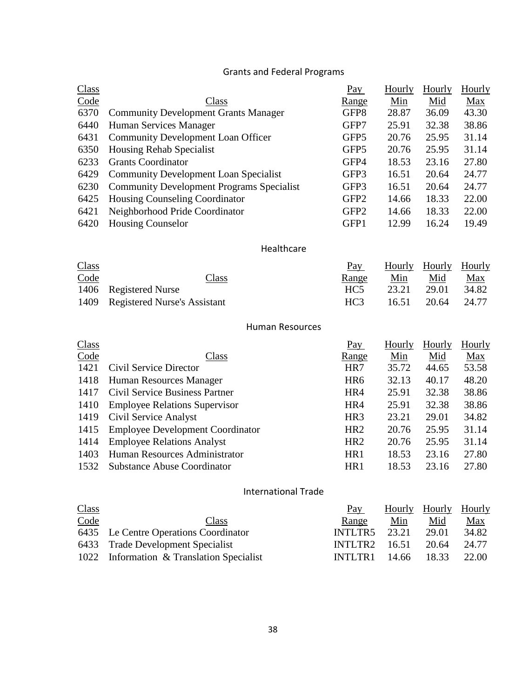# Grants and Federal Programs

| <b>Class</b> |                                                  | Pay              | Hourly | Hourly | <b>Hourly</b> |
|--------------|--------------------------------------------------|------------------|--------|--------|---------------|
| Code         | Class                                            | Range            | Min    | Mid    | Max           |
| 6370         | <b>Community Development Grants Manager</b>      | GFP8             | 28.87  | 36.09  | 43.30         |
| 6440         | Human Services Manager                           | GFP7             | 25.91  | 32.38  | 38.86         |
| 6431         | <b>Community Development Loan Officer</b>        | GFP <sub>5</sub> | 20.76  | 25.95  | 31.14         |
| 6350         | <b>Housing Rehab Specialist</b>                  | GFP <sub>5</sub> | 20.76  | 25.95  | 31.14         |
| 6233         | <b>Grants Coordinator</b>                        | GFP4             | 18.53  | 23.16  | 27.80         |
| 6429         | <b>Community Development Loan Specialist</b>     | GFP3             | 16.51  | 20.64  | 24.77         |
| 6230         | <b>Community Development Programs Specialist</b> | GFP3             | 16.51  | 20.64  | 24.77         |
| 6425         | <b>Housing Counseling Coordinator</b>            | GFP <sub>2</sub> | 14.66  | 18.33  | 22.00         |
| 6421         | Neighborhood Pride Coordinator                   | GFP <sub>2</sub> | 14.66  | 18.33  | 22.00         |
| 6420         | <b>Housing Counselor</b>                         | GFP1             | 12.99  | 16.24  | 19.49         |

### Healthcare

| <b>Class</b> |                                   | Pay             |            | Hourly Hourly Hourly |            |
|--------------|-----------------------------------|-----------------|------------|----------------------|------------|
| Code         | Class                             | <u>Range</u>    | <u>Min</u> | Mid                  | <u>Max</u> |
|              | 1406 Registered Nurse             | HC <sub>5</sub> | 23.21      | 29.01                | 34.82      |
|              | 1409 Registered Nurse's Assistant | HC <sub>3</sub> | 16.51      | 20.64                | 24.77      |

### Human Resources

| Class |                                         | Pay             | <b>Hourly</b> | Hourly | <b>Hourly</b> |
|-------|-----------------------------------------|-----------------|---------------|--------|---------------|
| Code  | Class                                   | Range           | Min           | Mid    | Max           |
| 1421  | Civil Service Director                  | HR7             | 35.72         | 44.65  | 53.58         |
| 1418  | Human Resources Manager                 | HR <sub>6</sub> | 32.13         | 40.17  | 48.20         |
| 1417  | Civil Service Business Partner          | HR4             | 25.91         | 32.38  | 38.86         |
| 1410  | <b>Employee Relations Supervisor</b>    | HR4             | 25.91         | 32.38  | 38.86         |
| 1419  | Civil Service Analyst                   | HR <sub>3</sub> | 23.21         | 29.01  | 34.82         |
| 1415  | <b>Employee Development Coordinator</b> | HR <sub>2</sub> | 20.76         | 25.95  | 31.14         |
| 1414  | <b>Employee Relations Analyst</b>       | HR <sub>2</sub> | 20.76         | 25.95  | 31.14         |
| 1403  | Human Resources Administrator           | HR1             | 18.53         | 23.16  | 27.80         |
| 1532  | <b>Substance Abuse Coordinator</b>      | HR1             | 18.53         | 23.16  | 27.80         |

## International Trade

| <b>Class</b> |                                           | Pay                  |       | <b>Hourly Hourly Hourly</b> |            |
|--------------|-------------------------------------------|----------------------|-------|-----------------------------|------------|
| Code         | Class                                     | Range                | Min   | Mid                         | <u>Max</u> |
|              | 6435 Le Centre Operations Coordinator     | INTLTR5              | 23.21 | 29.01                       | 34.82      |
|              | 6433 Trade Development Specialist         | <b>INTLTR2</b> 16.51 |       | 20.64                       | 24.77      |
|              | 1022 Information & Translation Specialist | INTLTR1              | 14.66 | 18.33                       | 22.00      |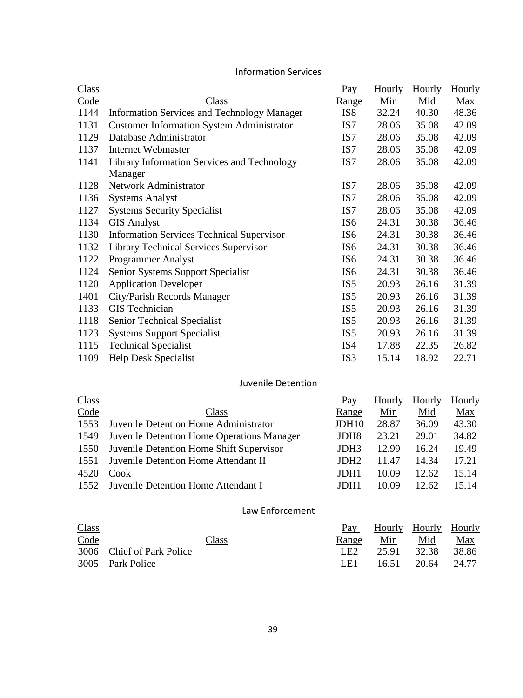### Information Services

| <b>Class</b> |                                                    | $\frac{Pay}{.}$ | <b>Hourly</b> | <b>Hourly</b> | Hourly |
|--------------|----------------------------------------------------|-----------------|---------------|---------------|--------|
| Code         | Class                                              | <u>Range</u>    | Min           | Mid           | Max    |
| 1144         | <b>Information Services and Technology Manager</b> | IS <sub>8</sub> | 32.24         | 40.30         | 48.36  |
| 1131         | <b>Customer Information System Administrator</b>   | IS7             | 28.06         | 35.08         | 42.09  |
| 1129         | Database Administrator                             | IS <sub>7</sub> | 28.06         | 35.08         | 42.09  |
| 1137         | Internet Webmaster                                 | IS7             | 28.06         | 35.08         | 42.09  |
| 1141         | Library Information Services and Technology        | IS7             | 28.06         | 35.08         | 42.09  |
|              | Manager                                            |                 |               |               |        |
| 1128         | Network Administrator                              | IS7             | 28.06         | 35.08         | 42.09  |
| 1136         | <b>Systems Analyst</b>                             | IS <sub>7</sub> | 28.06         | 35.08         | 42.09  |
| 1127         | <b>Systems Security Specialist</b>                 | IS7             | 28.06         | 35.08         | 42.09  |
| 1134         | <b>GIS Analyst</b>                                 | IS <sub>6</sub> | 24.31         | 30.38         | 36.46  |
| 1130         | <b>Information Services Technical Supervisor</b>   | IS <sub>6</sub> | 24.31         | 30.38         | 36.46  |
| 1132         | <b>Library Technical Services Supervisor</b>       | IS <sub>6</sub> | 24.31         | 30.38         | 36.46  |
| 1122         | <b>Programmer Analyst</b>                          | IS <sub>6</sub> | 24.31         | 30.38         | 36.46  |
| 1124         | Senior Systems Support Specialist                  | IS <sub>6</sub> | 24.31         | 30.38         | 36.46  |
| 1120         | <b>Application Developer</b>                       | IS <sub>5</sub> | 20.93         | 26.16         | 31.39  |
| 1401         | City/Parish Records Manager                        | IS <sub>5</sub> | 20.93         | 26.16         | 31.39  |
| 1133         | <b>GIS</b> Technician                              | IS <sub>5</sub> | 20.93         | 26.16         | 31.39  |
| 1118         | Senior Technical Specialist                        | IS <sub>5</sub> | 20.93         | 26.16         | 31.39  |
| 1123         | <b>Systems Support Specialist</b>                  | IS <sub>5</sub> | 20.93         | 26.16         | 31.39  |
| 1115         | <b>Technical Specialist</b>                        | IS4             | 17.88         | 22.35         | 26.82  |
| 1109         | <b>Help Desk Specialist</b>                        | IS3             | 15.14         | 18.92         | 22.71  |

### Juvenile Detention

| <b>Class</b> |                                            | Pay              | Hourly | Hourly | Hourly |
|--------------|--------------------------------------------|------------------|--------|--------|--------|
| Code         | Class                                      | Range            | Min    | Mid    | Max    |
| 1553         | Juvenile Detention Home Administrator      | JDH10            | 28.87  | 36.09  | 43.30  |
| 1549         | Juvenile Detention Home Operations Manager | JDH <sub>8</sub> | 23.21  | 29.01  | 34.82  |
| 1550         | Juvenile Detention Home Shift Supervisor   | JDH <sub>3</sub> | 12.99  | 16.24  | 19.49  |
| 1551         | Juvenile Detention Home Attendant II       | JDH <sub>2</sub> | 11.47  | 14.34  | 17.21  |
| 4520         | Cook                                       | JDH1             | 10.09  | 12.62  | 15.14  |
| 1552         | Juvenile Detention Home Attendant I        | JDH1             | 10.09  | 12.62  | 15.14  |

### Law Enforcement

| <b>Class</b> |                           | Pay   | Hourly Hourly Hourly |            |            |
|--------------|---------------------------|-------|----------------------|------------|------------|
| Code         | Class                     | Range | Min                  | <u>Mid</u> | <u>Max</u> |
|              | 3006 Chief of Park Police | LE2   | 25.91 32.38          |            | 38.86      |
|              | 3005 Park Police          | LE1   | 16.51                | 20.64      | 24.77      |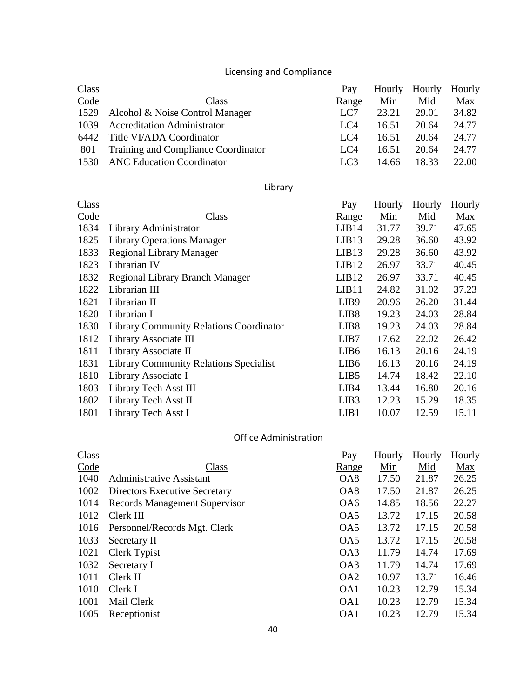# Licensing and Compliance

|                                            | Pay             | Hourly | Hourly | Hourly |
|--------------------------------------------|-----------------|--------|--------|--------|
| Class                                      | Range           | Min    | Mid    | Max    |
| 1529 Alcohol & Noise Control Manager       | LC7             | 23.21  | 29.01  | 34.82  |
| <b>Accreditation Administrator</b>         | LC4             | 16.51  | 20.64  | 24.77  |
| 6442 Title VI/ADA Coordinator              | LC4             | 16.51  | 20.64  | 24.77  |
| <b>Training and Compliance Coordinator</b> | LC4             | 16.51  | 20.64  | 24.77  |
| <b>ANC Education Coordinator</b>           | LC <sub>3</sub> | 14.66  | 18.33  | 22.00  |
|                                            |                 |        |        |        |

# Library

| Class |                                                | Pay              | Hourly | Hourly | Hourly |
|-------|------------------------------------------------|------------------|--------|--------|--------|
| Code  | Class                                          | <u>Range</u>     | Min    | Mid    | Max    |
| 1834  | Library Administrator                          | LIB14            | 31.77  | 39.71  | 47.65  |
| 1825  | <b>Library Operations Manager</b>              | LIB13            | 29.28  | 36.60  | 43.92  |
| 1833  | <b>Regional Library Manager</b>                | LIB13            | 29.28  | 36.60  | 43.92  |
| 1823  | Librarian IV                                   | LIB12            | 26.97  | 33.71  | 40.45  |
| 1832  | <b>Regional Library Branch Manager</b>         | LIB12            | 26.97  | 33.71  | 40.45  |
| 1822  | Librarian III                                  | LIB11            | 24.82  | 31.02  | 37.23  |
| 1821  | Librarian II                                   | LIB <sub>9</sub> | 20.96  | 26.20  | 31.44  |
| 1820  | Librarian I                                    | LIB <sub>8</sub> | 19.23  | 24.03  | 28.84  |
| 1830  | <b>Library Community Relations Coordinator</b> | LIB <sub>8</sub> | 19.23  | 24.03  | 28.84  |
| 1812  | Library Associate III                          | LIB7             | 17.62  | 22.02  | 26.42  |
| 1811  | Library Associate II                           | LIB <sub>6</sub> | 16.13  | 20.16  | 24.19  |
| 1831  | <b>Library Community Relations Specialist</b>  | LIB <sub>6</sub> | 16.13  | 20.16  | 24.19  |
| 1810  | Library Associate I                            | LIB <sub>5</sub> | 14.74  | 18.42  | 22.10  |
| 1803  | Library Tech Asst III                          | LIB4             | 13.44  | 16.80  | 20.16  |
| 1802  | Library Tech Asst II                           | LIB <sub>3</sub> | 12.23  | 15.29  | 18.35  |
| 1801  | Library Tech Asst I                            | LIB1             | 10.07  | 12.59  | 15.11  |

# Office Administration

| Class |                                      | Pay             | Hourly | Hourly | <b>Hourly</b> |
|-------|--------------------------------------|-----------------|--------|--------|---------------|
| Code  | Class                                | <u>Range</u>    | Min    | Mid    | <u>Max</u>    |
| 1040  | <b>Administrative Assistant</b>      | OA <sub>8</sub> | 17.50  | 21.87  | 26.25         |
| 1002  | <b>Directors Executive Secretary</b> | OA <sub>8</sub> | 17.50  | 21.87  | 26.25         |
| 1014  | <b>Records Management Supervisor</b> | OA <sub>6</sub> | 14.85  | 18.56  | 22.27         |
| 1012  | Clerk III                            | OA <sub>5</sub> | 13.72  | 17.15  | 20.58         |
| 1016  | Personnel/Records Mgt. Clerk         | OA5             | 13.72  | 17.15  | 20.58         |
| 1033  | Secretary II                         | OA5             | 13.72  | 17.15  | 20.58         |
| 1021  | Clerk Typist                         | OA3             | 11.79  | 14.74  | 17.69         |
| 1032  | Secretary I                          | OA3             | 11.79  | 14.74  | 17.69         |
| 1011  | Clerk II                             | OA <sub>2</sub> | 10.97  | 13.71  | 16.46         |
| 1010  | Clerk I                              | OA1             | 10.23  | 12.79  | 15.34         |
| 1001  | Mail Clerk                           | OA1             | 10.23  | 12.79  | 15.34         |
| 1005  | Receptionist                         | OA1             | 10.23  | 12.79  | 15.34         |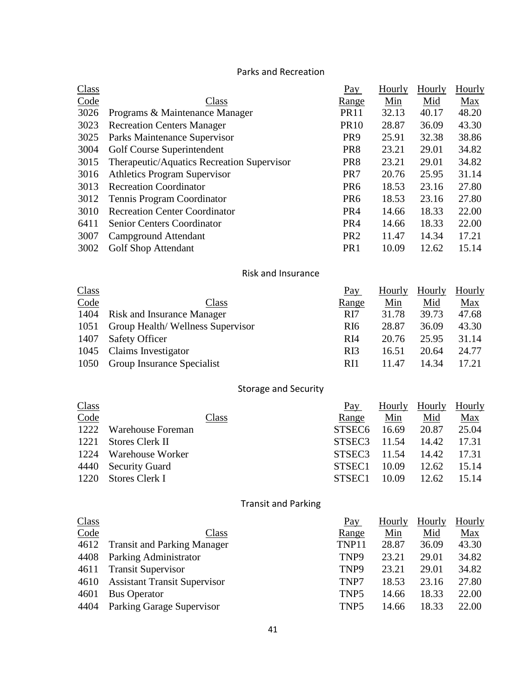### Parks and Recreation

| Class |                                            | Pay             | Hourly | Hourly | <b>Hourly</b> |
|-------|--------------------------------------------|-----------------|--------|--------|---------------|
| Code  | Class                                      | <u>Range</u>    | Min    | Mid    | Max           |
| 3026  | Programs & Maintenance Manager             | <b>PR11</b>     | 32.13  | 40.17  | 48.20         |
| 3023  | <b>Recreation Centers Manager</b>          | <b>PR10</b>     | 28.87  | 36.09  | 43.30         |
| 3025  | Parks Maintenance Supervisor               | PR <sub>9</sub> | 25.91  | 32.38  | 38.86         |
| 3004  | Golf Course Superintendent                 | PR <sub>8</sub> | 23.21  | 29.01  | 34.82         |
| 3015  | Therapeutic/Aquatics Recreation Supervisor | PR <sub>8</sub> | 23.21  | 29.01  | 34.82         |
| 3016  | <b>Athletics Program Supervisor</b>        | PR7             | 20.76  | 25.95  | 31.14         |
| 3013  | <b>Recreation Coordinator</b>              | PR <sub>6</sub> | 18.53  | 23.16  | 27.80         |
| 3012  | <b>Tennis Program Coordinator</b>          | PR <sub>6</sub> | 18.53  | 23.16  | 27.80         |
| 3010  | <b>Recreation Center Coordinator</b>       | PR <sub>4</sub> | 14.66  | 18.33  | 22.00         |
| 6411  | <b>Senior Centers Coordinator</b>          | PR <sub>4</sub> | 14.66  | 18.33  | 22.00         |
| 3007  | Campground Attendant                       | PR <sub>2</sub> | 11.47  | 14.34  | 17.21         |
| 3002  | <b>Golf Shop Attendant</b>                 | PR <sub>1</sub> | 10.09  | 12.62  | 15.14         |

## Risk and Insurance

| <b>Class</b> |                                   | Pay             | Hourly | Hourly | Hourly     |
|--------------|-----------------------------------|-----------------|--------|--------|------------|
| Code         | Class                             | Range           | Min    | Mid    | <u>Max</u> |
| 1404         | <b>Risk and Insurance Manager</b> | RI7             | 31.78  | 39.73  | 47.68      |
| 1051         | Group Health/Wellness Supervisor  | R <sub>I6</sub> | 28.87  | 36.09  | 43.30      |
| 1407         | <b>Safety Officer</b>             | R <sub>I4</sub> | 20.76  | 25.95  | 31.14      |
| 1045         | Claims Investigator               | R <sub>I3</sub> | 16.51  | 20.64  | 24.77      |
| 1050         | <b>Group Insurance Specialist</b> | RI1             | 11.47  | 14.34  | 17.21      |

# Storage and Security

| <b>Class</b> |                         | Pay                | Hourly | <b>Hourly</b> | Hourly |
|--------------|-------------------------|--------------------|--------|---------------|--------|
| Code         | Class                   | Range              | Min    | Mid           | Max    |
| 1222         | Warehouse Foreman       | STSEC <sub>6</sub> | 16.69  | 20.87         | 25.04  |
| 1221         | Stores Clerk II         | STSEC <sub>3</sub> | 11.54  | 14.42         | 17.31  |
| 1224         | <b>Warehouse Worker</b> | STSEC <sub>3</sub> | 11.54  | 14.42         | 17.31  |
|              | 4440 Security Guard     | STSEC1             | 10.09  | 12.62         | 15.14  |
| 1220         | Stores Clerk I          | STSEC1             | 10.09  | 12.62         | 15.14  |

# Transit and Parking

| <b>Class</b> |                                     | Pay              | Hourly | Hourly | Hourly     |
|--------------|-------------------------------------|------------------|--------|--------|------------|
| Code         | Class                               | Range            | Min    | Mid    | <u>Max</u> |
| 4612         | <b>Transit and Parking Manager</b>  | TNP11            | 28.87  | 36.09  | 43.30      |
| 4408         | Parking Administrator               | TNP <sub>9</sub> | 23.21  | 29.01  | 34.82      |
| 4611         | <b>Transit Supervisor</b>           | TNP <sub>9</sub> | 23.21  | 29.01  | 34.82      |
| 4610         | <b>Assistant Transit Supervisor</b> | TNP7             | 18.53  | 23.16  | 27.80      |
| 4601         | <b>Bus Operator</b>                 | TNP <sub>5</sub> | 14.66  | 18.33  | 22.00      |
| 4404         | Parking Garage Supervisor           | TNP <sub>5</sub> | 14.66  | 18.33  | 22.00      |
|              |                                     |                  |        |        |            |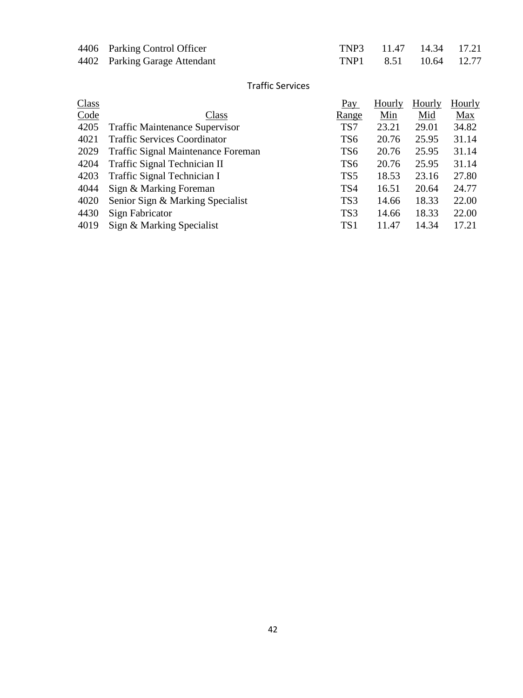| 4406 Parking Control Officer  | TNP3 11.47 14.34 17.21 |  |
|-------------------------------|------------------------|--|
| 4402 Parking Garage Attendant | TNP1 8.51 10.64 12.77  |  |

### Traffic Services

| Class |                                           | Pay             | Hourly | Hourly | Hourly     |
|-------|-------------------------------------------|-----------------|--------|--------|------------|
| Code  | Class                                     | <u>Range</u>    | Min    | Mid    | <b>Max</b> |
| 4205  | <b>Traffic Maintenance Supervisor</b>     | TS7             | 23.21  | 29.01  | 34.82      |
| 4021  | <b>Traffic Services Coordinator</b>       | TS <sub>6</sub> | 20.76  | 25.95  | 31.14      |
| 2029  | <b>Traffic Signal Maintenance Foreman</b> | TS <sub>6</sub> | 20.76  | 25.95  | 31.14      |
| 4204  | Traffic Signal Technician II              | TS <sub>6</sub> | 20.76  | 25.95  | 31.14      |
| 4203  | Traffic Signal Technician I               | TS <sub>5</sub> | 18.53  | 23.16  | 27.80      |
| 4044  | Sign & Marking Foreman                    | TS4             | 16.51  | 20.64  | 24.77      |
| 4020  | Senior Sign & Marking Specialist          | TS3             | 14.66  | 18.33  | 22.00      |
| 4430  | Sign Fabricator                           | TS3             | 14.66  | 18.33  | 22.00      |
| 4019  | Sign & Marking Specialist                 | TS1             | 11.47  | 14.34  | 17.21      |
|       |                                           |                 |        |        |            |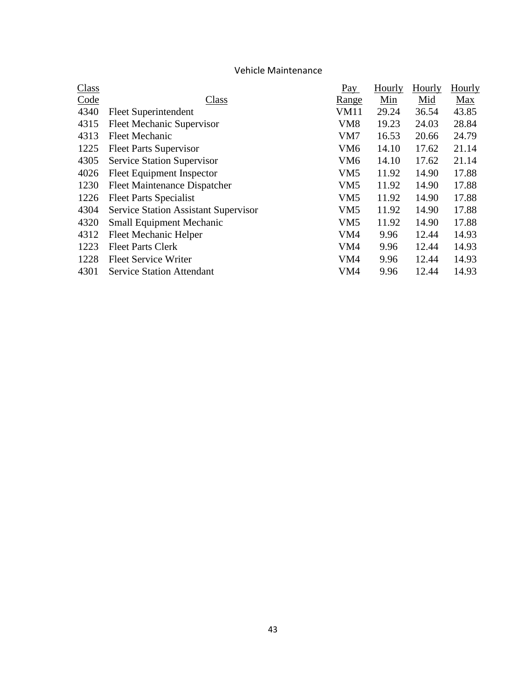## Vehicle Maintenance

| Class |                                             | Pay             | Hourly | Hourly | Hourly     |
|-------|---------------------------------------------|-----------------|--------|--------|------------|
| Code  | Class                                       | <u>Range</u>    | Min    | Mid    | <b>Max</b> |
| 4340  | Fleet Superintendent                        | VM11            | 29.24  | 36.54  | 43.85      |
| 4315  | <b>Fleet Mechanic Supervisor</b>            | VM <sub>8</sub> | 19.23  | 24.03  | 28.84      |
| 4313  | <b>Fleet Mechanic</b>                       | VM7             | 16.53  | 20.66  | 24.79      |
| 1225  | <b>Fleet Parts Supervisor</b>               | VM <sub>6</sub> | 14.10  | 17.62  | 21.14      |
| 4305  | <b>Service Station Supervisor</b>           | VM <sub>6</sub> | 14.10  | 17.62  | 21.14      |
| 4026  | <b>Fleet Equipment Inspector</b>            | VM <sub>5</sub> | 11.92  | 14.90  | 17.88      |
| 1230  | <b>Fleet Maintenance Dispatcher</b>         | VM <sub>5</sub> | 11.92  | 14.90  | 17.88      |
| 1226  | <b>Fleet Parts Specialist</b>               | VM <sub>5</sub> | 11.92  | 14.90  | 17.88      |
| 4304  | <b>Service Station Assistant Supervisor</b> | VM <sub>5</sub> | 11.92  | 14.90  | 17.88      |
| 4320  | <b>Small Equipment Mechanic</b>             | VM <sub>5</sub> | 11.92  | 14.90  | 17.88      |
| 4312  | <b>Fleet Mechanic Helper</b>                | VM4             | 9.96   | 12.44  | 14.93      |
| 1223  | <b>Fleet Parts Clerk</b>                    | VM4             | 9.96   | 12.44  | 14.93      |
| 1228  | <b>Fleet Service Writer</b>                 | VM4             | 9.96   | 12.44  | 14.93      |
| 4301  | <b>Service Station Attendant</b>            | VM4             | 9.96   | 12.44  | 14.93      |